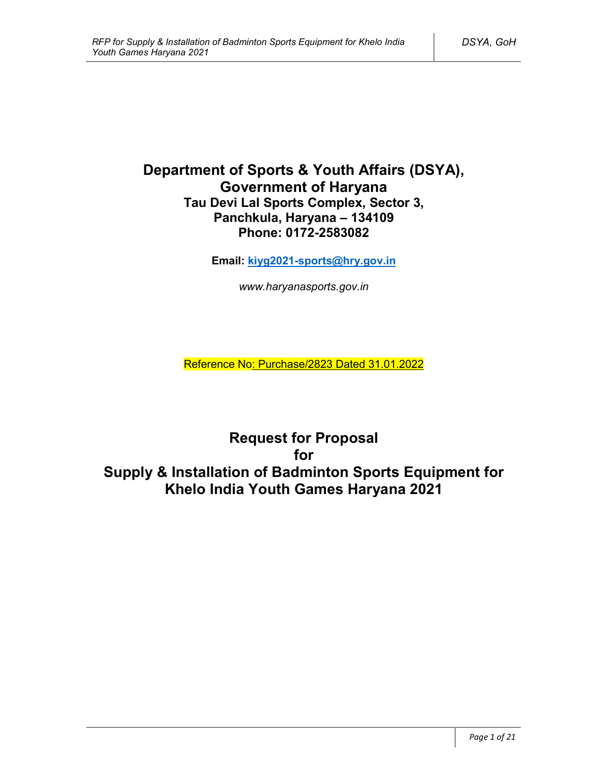# **Department of Sports & Youth Affairs (DSYA), Government of Haryana Tau Devi Lal Sports Complex, Sector 3, Panchkula, Haryana – 134109 Phone: 0172-2583082**

**Email: kiyg2021-sports@hry.gov.in**

*www.haryanasports.gov.in*

Reference No: Purchase/2823 Dated 31.01.2022

**Request for Proposal for Supply & Installation of Badminton Sports Equipment for Khelo India Youth Games Haryana 2021**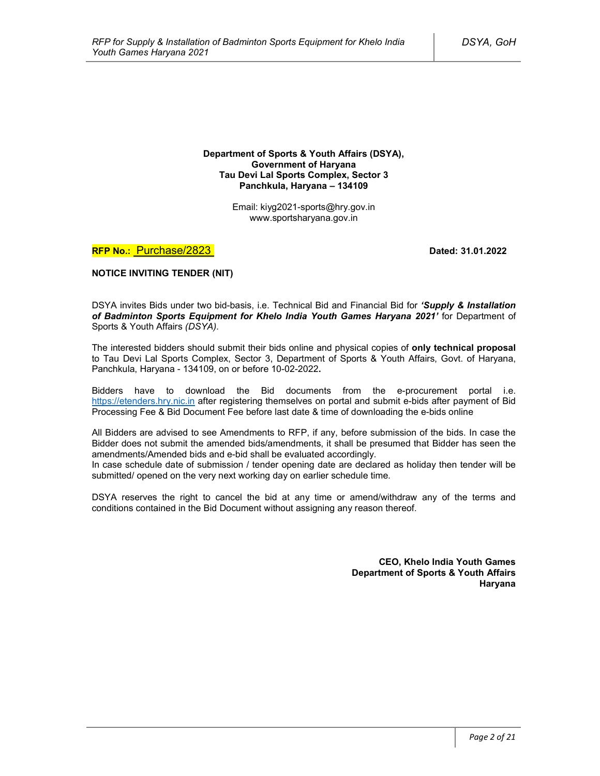**Department of Sports & Youth Affairs (DSYA), Government of Haryana Tau Devi Lal Sports Complex, Sector 3 Panchkula, Haryana – 134109**

> Email: kiyg2021-sports@hry.gov.in www.sportsharyana.gov.in

**RFP No.:** Purchase/2823 **Dated: 31.01.2022** 

**NOTICE INVITING TENDER (NIT)**

DSYA invites Bids under two bid-basis, i.e. Technical Bid and Financial Bid for *'Supply & Installation of Badminton Sports Equipment for Khelo India Youth Games Haryana 2021'* for Department of Sports & Youth Affairs *(DSYA)*.

The interested bidders should submit their bids online and physical copies of **only technical proposal** to Tau Devi Lal Sports Complex, Sector 3, Department of Sports & Youth Affairs, Govt. of Haryana, Panchkula, Haryana - 134109, on or before 10-02-2022**.**

Bidders have to download the Bid documents from the e-procurement portal i.e. https://etenders.hry.nic.in after registering themselves on portal and submit e-bids after payment of Bid Processing Fee & Bid Document Fee before last date & time of downloading the e-bids online

All Bidders are advised to see Amendments to RFP, if any, before submission of the bids. In case the Bidder does not submit the amended bids/amendments, it shall be presumed that Bidder has seen the amendments/Amended bids and e-bid shall be evaluated accordingly.

In case schedule date of submission / tender opening date are declared as holiday then tender will be submitted/ opened on the very next working day on earlier schedule time.

DSYA reserves the right to cancel the bid at any time or amend/withdraw any of the terms and conditions contained in the Bid Document without assigning any reason thereof.

> **CEO, Khelo India Youth Games Department of Sports & Youth Affairs Haryana**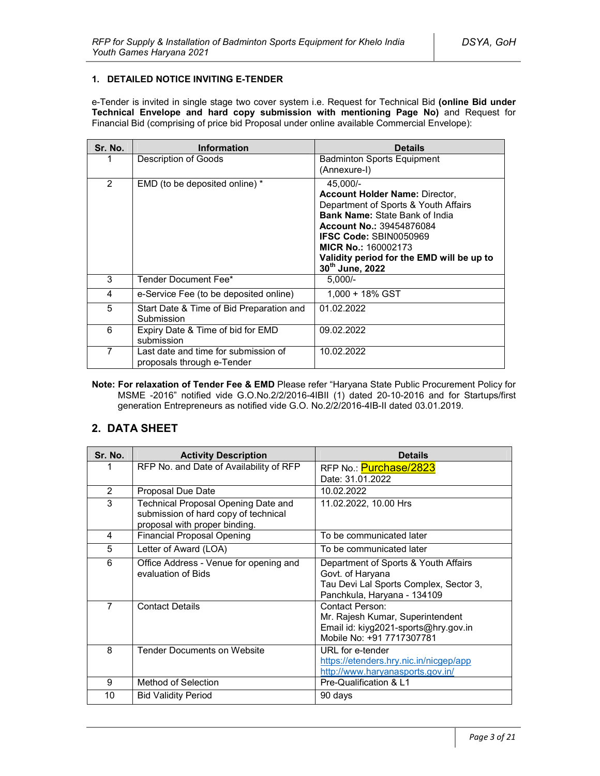### **1. DETAILED NOTICE INVITING E-TENDER**

e-Tender is invited in single stage two cover system i.e. Request for Technical Bid **(online Bid under Technical Envelope and hard copy submission with mentioning Page No)** and Request for Financial Bid (comprising of price bid Proposal under online available Commercial Envelope):

| Sr. No.        | <b>Information</b>                                                 | <b>Details</b>                                                                                                                                                                                                                                                                                       |
|----------------|--------------------------------------------------------------------|------------------------------------------------------------------------------------------------------------------------------------------------------------------------------------------------------------------------------------------------------------------------------------------------------|
|                | Description of Goods                                               | <b>Badminton Sports Equipment</b><br>(Annexure-I)                                                                                                                                                                                                                                                    |
| $\overline{2}$ | EMD (to be deposited online) *                                     | 45.000/-<br><b>Account Holder Name: Director,</b><br>Department of Sports & Youth Affairs<br><b>Bank Name: State Bank of India</b><br><b>Account No.: 39454876084</b><br><b>IFSC Code: SBIN0050969</b><br><b>MICR No.: 160002173</b><br>Validity period for the EMD will be up to<br>30th June, 2022 |
| 3              | Tender Document Fee*                                               | $5.000/-$                                                                                                                                                                                                                                                                                            |
| 4              | e-Service Fee (to be deposited online)                             | 1.000 + 18% GST                                                                                                                                                                                                                                                                                      |
| 5              | Start Date & Time of Bid Preparation and<br>Submission             | 01.02.2022                                                                                                                                                                                                                                                                                           |
| 6              | Expiry Date & Time of bid for EMD<br>submission                    | 09.02.2022                                                                                                                                                                                                                                                                                           |
| 7              | Last date and time for submission of<br>proposals through e-Tender | 10.02.2022                                                                                                                                                                                                                                                                                           |

**Note: For relaxation of Tender Fee & EMD** Please refer "Haryana State Public Procurement Policy for MSME -2016" notified vide G.O.No.2/2/2016-4IBII (1) dated 20-10-2016 and for Startups/first generation Entrepreneurs as notified vide G.O. No.2/2/2016-4IB-II dated 03.01.2019.

# **2. DATA SHEET**

| Sr. No.        | <b>Activity Description</b>                                                                                  | <b>Details</b>                                                                                                                    |  |
|----------------|--------------------------------------------------------------------------------------------------------------|-----------------------------------------------------------------------------------------------------------------------------------|--|
|                | RFP No. and Date of Availability of RFP                                                                      | RFP No.: Purchase/2823<br>Date: 31.01.2022                                                                                        |  |
| $\overline{2}$ | Proposal Due Date                                                                                            | 10.02.2022                                                                                                                        |  |
| 3              | Technical Proposal Opening Date and<br>submission of hard copy of technical<br>proposal with proper binding. | 11.02.2022, 10.00 Hrs                                                                                                             |  |
| 4              | <b>Financial Proposal Opening</b>                                                                            | To be communicated later                                                                                                          |  |
| 5              | Letter of Award (LOA)                                                                                        | To be communicated later                                                                                                          |  |
| 6              | Office Address - Venue for opening and<br>evaluation of Bids                                                 | Department of Sports & Youth Affairs<br>Govt. of Haryana<br>Tau Devi Lal Sports Complex, Sector 3,<br>Panchkula, Haryana - 134109 |  |
| $\overline{7}$ | <b>Contact Details</b>                                                                                       | Contact Person:<br>Mr. Rajesh Kumar, Superintendent<br>Email id: kiyg2021-sports@hry.gov.in<br>Mobile No: +91 7717307781          |  |
| 8              | <b>Tender Documents on Website</b>                                                                           | URL for e-tender<br>https://etenders.hry.nic.in/nicgep/app<br>http://www.haryanasports.gov.in/                                    |  |
| 9              | Method of Selection                                                                                          | Pre-Qualification & L1                                                                                                            |  |
| 10             | <b>Bid Validity Period</b>                                                                                   | 90 days                                                                                                                           |  |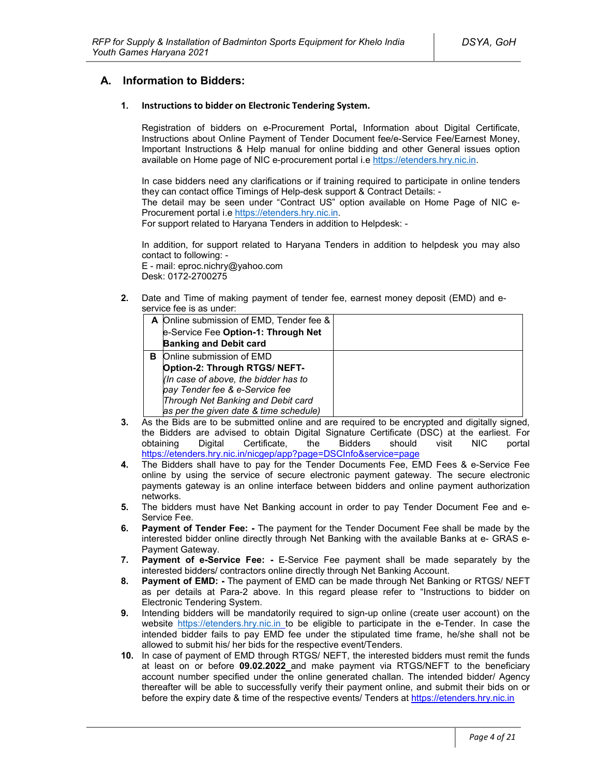## **A. Information to Bidders:**

#### **1. Instructions to bidder on Electronic Tendering System.**

Registration of bidders on e-Procurement Portal**,** Information about Digital Certificate, Instructions about Online Payment of Tender Document fee/e-Service Fee/Earnest Money, Important Instructions & Help manual for online bidding and other General issues option available on Home page of NIC e-procurement portal i.e https://etenders.hry.nic.in.

In case bidders need any clarifications or if training required to participate in online tenders they can contact office Timings of Help-desk support & Contract Details: -

The detail may be seen under "Contract US" option available on Home Page of NIC e-Procurement portal i.e https://etenders.hry.nic.in.

For support related to Haryana Tenders in addition to Helpdesk: -

In addition, for support related to Haryana Tenders in addition to helpdesk you may also contact to following: -

E - mail: eproc.nichry@yahoo.com Desk: 0172-2700275

**2.** Date and Time of making payment of tender fee, earnest money deposit (EMD) and eservice fee is as under:

|   | A Online submission of EMD, Tender fee & |  |
|---|------------------------------------------|--|
|   | e-Service Fee Option-1: Through Net      |  |
|   | <b>Banking and Debit card</b>            |  |
| в | Online submission of EMD                 |  |
|   | Option-2: Through RTGS/ NEFT-            |  |
|   | (In case of above, the bidder has to     |  |
|   | pay Tender fee & e-Service fee           |  |
|   | Through Net Banking and Debit card       |  |
|   | as per the given date & time schedule)   |  |

- **3.** As the Bids are to be submitted online and are required to be encrypted and digitally signed, the Bidders are advised to obtain Digital Signature Certificate (DSC) at the earliest. For obtaining Digital Certificate, the Bidders should visit NIC portal https://etenders.hry.nic.in/nicgep/app?page=DSCInfo&service=page
- **4.** The Bidders shall have to pay for the Tender Documents Fee, EMD Fees & e-Service Fee online by using the service of secure electronic payment gateway. The secure electronic payments gateway is an online interface between bidders and online payment authorization networks.
- **5.** The bidders must have Net Banking account in order to pay Tender Document Fee and e-Service Fee.
- **6. Payment of Tender Fee: -** The payment for the Tender Document Fee shall be made by the interested bidder online directly through Net Banking with the available Banks at e- GRAS e-Payment Gateway.
- **7. Payment of e-Service Fee: -** E-Service Fee payment shall be made separately by the interested bidders/ contractors online directly through Net Banking Account.
- **8. Payment of EMD: -** The payment of EMD can be made through Net Banking or RTGS/ NEFT as per details at Para-2 above. In this regard please refer to "Instructions to bidder on Electronic Tendering System.
- **9.** Intending bidders will be mandatorily required to sign-up online (create user account) on the website https://etenders.hry.nic.in to be eligible to participate in the e-Tender. In case the intended bidder fails to pay EMD fee under the stipulated time frame, he/she shall not be allowed to submit his/ her bids for the respective event/Tenders.
- **10.** In case of payment of EMD through RTGS/ NEFT, the interested bidders must remit the funds at least on or before **09.02.2022** and make payment via RTGS/NEFT to the beneficiary account number specified under the online generated challan. The intended bidder/ Agency thereafter will be able to successfully verify their payment online, and submit their bids on or before the expiry date & time of the respective events/ Tenders at https://etenders.hry.nic.in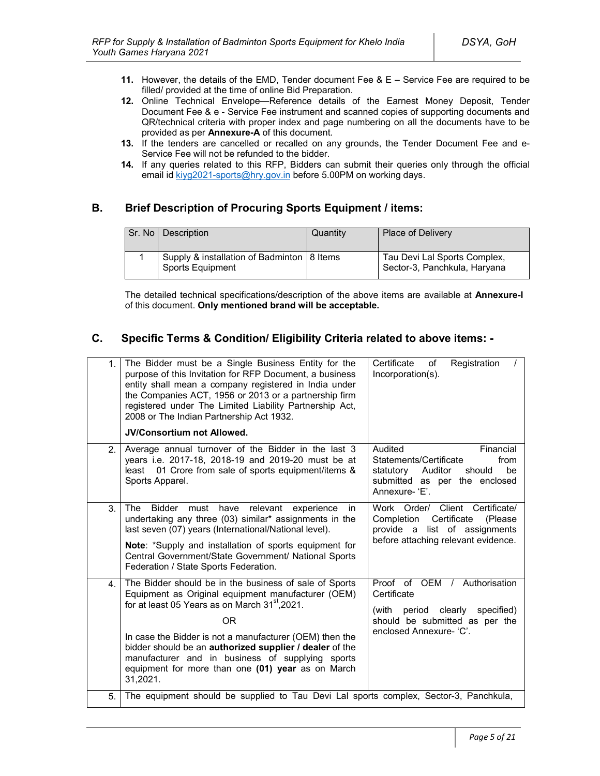- **11.** However, the details of the EMD, Tender document Fee & E Service Fee are required to be filled/ provided at the time of online Bid Preparation.
- **12.** Online Technical Envelope—Reference details of the Earnest Money Deposit, Tender Document Fee & e - Service Fee instrument and scanned copies of supporting documents and QR/technical criteria with proper index and page numbering on all the documents have to be provided as per **Annexure-A** of this document.
- **13.** If the tenders are cancelled or recalled on any grounds, the Tender Document Fee and e-Service Fee will not be refunded to the bidder.
- **14.** If any queries related to this RFP, Bidders can submit their queries only through the official email id kiyg2021-sports@hry.gov.in before 5.00PM on working days.

# **B. Brief Description of Procuring Sports Equipment / items:**

| Sr. No   Description                                                    | Quantity | <b>Place of Delivery</b>                                     |
|-------------------------------------------------------------------------|----------|--------------------------------------------------------------|
| Supply & installation of Badminton   8 Items<br><b>Sports Equipment</b> |          | Tau Devi Lal Sports Complex,<br>Sector-3, Panchkula, Haryana |

The detailed technical specifications/description of the above items are available at **Annexure-I** of this document. **Only mentioned brand will be acceptable.**

# **C. Specific Terms & Condition/ Eligibility Criteria related to above items: -**

| 1.             | The Bidder must be a Single Business Entity for the<br>purpose of this Invitation for RFP Document, a business<br>entity shall mean a company registered in India under<br>the Companies ACT, 1956 or 2013 or a partnership firm<br>registered under The Limited Liability Partnership Act,<br>2008 or The Indian Partnership Act 1932.<br><b>JV/Consortium not Allowed.</b>                                                       | Certificate<br>Registration<br>of<br>Incorporation(s).                                                                                               |
|----------------|------------------------------------------------------------------------------------------------------------------------------------------------------------------------------------------------------------------------------------------------------------------------------------------------------------------------------------------------------------------------------------------------------------------------------------|------------------------------------------------------------------------------------------------------------------------------------------------------|
| 2 <sup>2</sup> | Average annual turnover of the Bidder in the last 3<br>years i.e. 2017-18, 2018-19 and 2019-20 must be at<br>01 Crore from sale of sports equipment/items &<br>least<br>Sports Apparel.                                                                                                                                                                                                                                            | Audited<br>Financial<br>Statements/Certificate<br>from<br>be<br>statutory<br>Auditor<br>should<br>submitted as per the enclosed<br>Annexure-'E'.     |
| 3.             | <b>Bidder</b><br>relevant<br>The<br>must<br>have<br>experience<br>in.<br>undertaking any three (03) similar* assignments in the<br>last seven (07) years (International/National level).<br>Note: *Supply and installation of sports equipment for<br>Central Government/State Government/ National Sports<br>Federation / State Sports Federation.                                                                                | Work Order/ Client Certificate/<br>Certificate<br>Completion<br>(Please)<br>provide a list of assignments<br>before attaching relevant evidence.     |
| 4 <sup>1</sup> | The Bidder should be in the business of sale of Sports<br>Equipment as Original equipment manufacturer (OEM)<br>for at least 05 Years as on March 31 <sup>st</sup> , 2021.<br><b>OR</b><br>In case the Bidder is not a manufacturer (OEM) then the<br>bidder should be an authorized supplier / dealer of the<br>manufacturer and in business of supplying sports<br>equipment for more than one (01) year as on March<br>31,2021. | Proof of OEM / Authorisation<br>Certificate<br>clearly<br>specified)<br>(with<br>period<br>should be submitted as per the<br>enclosed Annexure- 'C'. |
| 5.             | The equipment should be supplied to Tau Devi Lal sports complex, Sector-3, Panchkula,                                                                                                                                                                                                                                                                                                                                              |                                                                                                                                                      |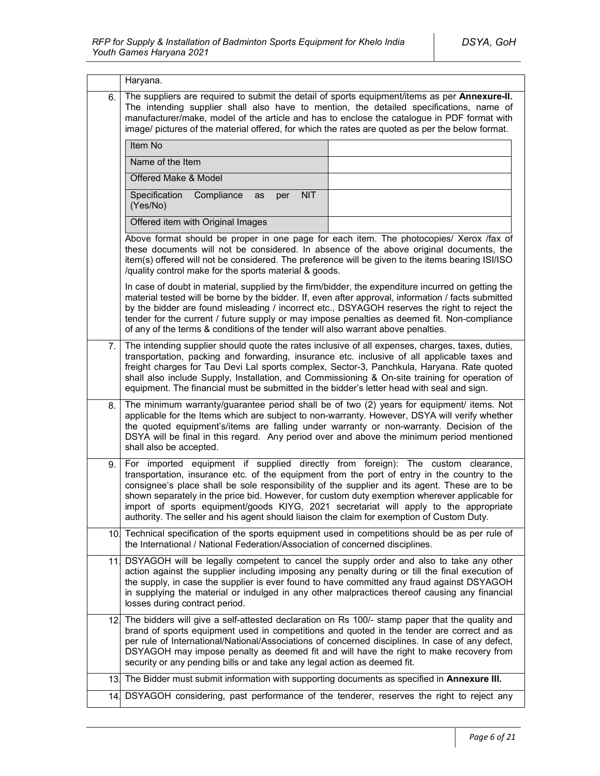|                 | Haryana.                                                                                                                                                                                                                                                                                                                                                                                                                                                                                        |                                                                              |  |  |  |  |
|-----------------|-------------------------------------------------------------------------------------------------------------------------------------------------------------------------------------------------------------------------------------------------------------------------------------------------------------------------------------------------------------------------------------------------------------------------------------------------------------------------------------------------|------------------------------------------------------------------------------|--|--|--|--|
| 6.              | The suppliers are required to submit the detail of sports equipment/items as per Annexure-II.<br>The intending supplier shall also have to mention, the detailed specifications, name of<br>manufacturer/make, model of the article and has to enclose the catalogue in PDF format with<br>image/ pictures of the material offered, for which the rates are quoted as per the below format.                                                                                                     |                                                                              |  |  |  |  |
|                 | Item No                                                                                                                                                                                                                                                                                                                                                                                                                                                                                         |                                                                              |  |  |  |  |
|                 | Name of the Item                                                                                                                                                                                                                                                                                                                                                                                                                                                                                |                                                                              |  |  |  |  |
|                 | Offered Make & Model                                                                                                                                                                                                                                                                                                                                                                                                                                                                            |                                                                              |  |  |  |  |
|                 | Specification<br>Compliance<br><b>NIT</b><br>as<br>per<br>(Yes/No)                                                                                                                                                                                                                                                                                                                                                                                                                              |                                                                              |  |  |  |  |
|                 | Offered item with Original Images                                                                                                                                                                                                                                                                                                                                                                                                                                                               |                                                                              |  |  |  |  |
|                 | Above format should be proper in one page for each item. The photocopies/ Xerox /fax of<br>these documents will not be considered. In absence of the above original documents, the<br>item(s) offered will not be considered. The preference will be given to the items bearing ISI/ISO<br>/quality control make for the sports material & goods.                                                                                                                                               |                                                                              |  |  |  |  |
|                 | In case of doubt in material, supplied by the firm/bidder, the expenditure incurred on getting the<br>material tested will be borne by the bidder. If, even after approval, information / facts submitted<br>by the bidder are found misleading / incorrect etc., DSYAGOH reserves the right to reject the<br>tender for the current / future supply or may impose penalties as deemed fit. Non-compliance<br>of any of the terms & conditions of the tender will also warrant above penalties. |                                                                              |  |  |  |  |
| 7.              | The intending supplier should quote the rates inclusive of all expenses, charges, taxes, duties,<br>transportation, packing and forwarding, insurance etc. inclusive of all applicable taxes and<br>freight charges for Tau Devi Lal sports complex, Sector-3, Panchkula, Haryana. Rate quoted<br>shall also include Supply, Installation, and Commissioning & On-site training for operation of<br>equipment. The financial must be submitted in the bidder's letter head with seal and sign.  |                                                                              |  |  |  |  |
| 8.              | The minimum warranty/guarantee period shall be of two (2) years for equipment/ items. Not<br>applicable for the Items which are subject to non-warranty. However, DSYA will verify whether<br>the quoted equipment's/items are falling under warranty or non-warranty. Decision of the<br>DSYA will be final in this regard. Any period over and above the minimum period mentioned<br>shall also be accepted.                                                                                  |                                                                              |  |  |  |  |
| 9.              | For<br>transportation, insurance etc. of the equipment from the port of entry in the country to the<br>consignee's place shall be sole responsibility of the supplier and its agent. These are to be<br>shown separately in the price bid. However, for custom duty exemption wherever applicable for<br>import of sports equipment/goods KIYG, 2021 secretariat will apply to the appropriate<br>authority. The seller and his agent should liaison the claim for exemption of Custom Duty.    | imported equipment if supplied directly from foreign): The custom clearance, |  |  |  |  |
| 10.             | Technical specification of the sports equipment used in competitions should be as per rule of<br>the International / National Federation/Association of concerned disciplines.                                                                                                                                                                                                                                                                                                                  |                                                                              |  |  |  |  |
| 11.             | DSYAGOH will be legally competent to cancel the supply order and also to take any other<br>action against the supplier including imposing any penalty during or till the final execution of<br>the supply, in case the supplier is ever found to have committed any fraud against DSYAGOH<br>in supplying the material or indulged in any other malpractices thereof causing any financial<br>losses during contract period.                                                                    |                                                                              |  |  |  |  |
| 12 <sub>l</sub> | The bidders will give a self-attested declaration on Rs 100/- stamp paper that the quality and<br>brand of sports equipment used in competitions and quoted in the tender are correct and as<br>per rule of International/National/Associations of concerned disciplines. In case of any defect,<br>DSYAGOH may impose penalty as deemed fit and will have the right to make recovery from<br>security or any pending bills or and take any legal action as deemed fit.                         |                                                                              |  |  |  |  |
| 13.             | The Bidder must submit information with supporting documents as specified in Annexure III.                                                                                                                                                                                                                                                                                                                                                                                                      |                                                                              |  |  |  |  |
| 14.             | DSYAGOH considering, past performance of the tenderer, reserves the right to reject any                                                                                                                                                                                                                                                                                                                                                                                                         |                                                                              |  |  |  |  |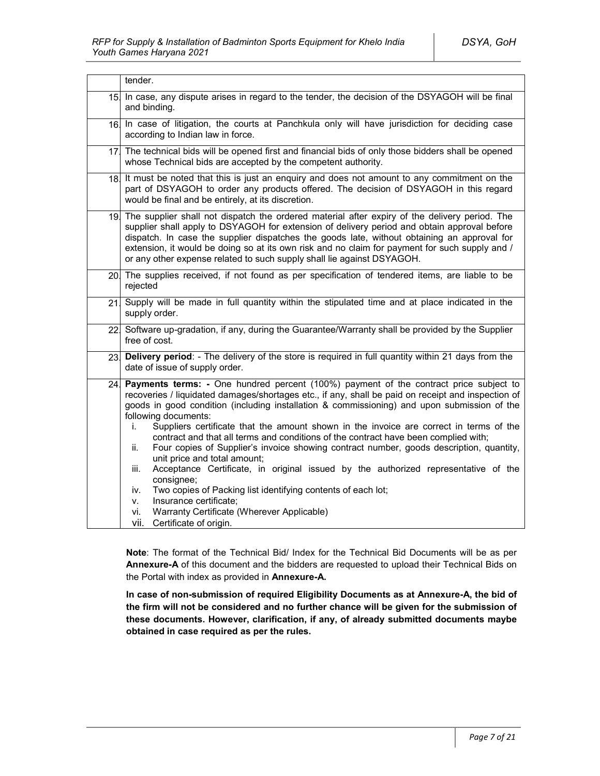|     | tender.                                                                                                                                                                                                                                                                                                                                                                                                                                                                                                                                                                                                                                                                                                                                                                                                                                                                                                                                               |  |
|-----|-------------------------------------------------------------------------------------------------------------------------------------------------------------------------------------------------------------------------------------------------------------------------------------------------------------------------------------------------------------------------------------------------------------------------------------------------------------------------------------------------------------------------------------------------------------------------------------------------------------------------------------------------------------------------------------------------------------------------------------------------------------------------------------------------------------------------------------------------------------------------------------------------------------------------------------------------------|--|
| 15. | In case, any dispute arises in regard to the tender, the decision of the DSYAGOH will be final<br>and binding.                                                                                                                                                                                                                                                                                                                                                                                                                                                                                                                                                                                                                                                                                                                                                                                                                                        |  |
|     | 16. In case of litigation, the courts at Panchkula only will have jurisdiction for deciding case<br>according to Indian law in force.                                                                                                                                                                                                                                                                                                                                                                                                                                                                                                                                                                                                                                                                                                                                                                                                                 |  |
|     | 17 The technical bids will be opened first and financial bids of only those bidders shall be opened<br>whose Technical bids are accepted by the competent authority.                                                                                                                                                                                                                                                                                                                                                                                                                                                                                                                                                                                                                                                                                                                                                                                  |  |
|     | 18. It must be noted that this is just an enguiry and does not amount to any commitment on the<br>part of DSYAGOH to order any products offered. The decision of DSYAGOH in this regard<br>would be final and be entirely, at its discretion.                                                                                                                                                                                                                                                                                                                                                                                                                                                                                                                                                                                                                                                                                                         |  |
|     | 19. The supplier shall not dispatch the ordered material after expiry of the delivery period. The<br>supplier shall apply to DSYAGOH for extension of delivery period and obtain approval before<br>dispatch. In case the supplier dispatches the goods late, without obtaining an approval for<br>extension, it would be doing so at its own risk and no claim for payment for such supply and /<br>or any other expense related to such supply shall lie against DSYAGOH.                                                                                                                                                                                                                                                                                                                                                                                                                                                                           |  |
|     | 20. The supplies received, if not found as per specification of tendered items, are liable to be<br>rejected                                                                                                                                                                                                                                                                                                                                                                                                                                                                                                                                                                                                                                                                                                                                                                                                                                          |  |
| 21  | Supply will be made in full quantity within the stipulated time and at place indicated in the<br>supply order.                                                                                                                                                                                                                                                                                                                                                                                                                                                                                                                                                                                                                                                                                                                                                                                                                                        |  |
|     | 22 Software up-gradation, if any, during the Guarantee/Warranty shall be provided by the Supplier<br>free of cost.                                                                                                                                                                                                                                                                                                                                                                                                                                                                                                                                                                                                                                                                                                                                                                                                                                    |  |
| 23. | Delivery period: - The delivery of the store is required in full quantity within 21 days from the<br>date of issue of supply order.                                                                                                                                                                                                                                                                                                                                                                                                                                                                                                                                                                                                                                                                                                                                                                                                                   |  |
| 24. | Payments terms: - One hundred percent (100%) payment of the contract price subject to<br>recoveries / liquidated damages/shortages etc., if any, shall be paid on receipt and inspection of<br>goods in good condition (including installation & commissioning) and upon submission of the<br>following documents:<br>Suppliers certificate that the amount shown in the invoice are correct in terms of the<br>İ.<br>contract and that all terms and conditions of the contract have been complied with;<br>Four copies of Supplier's invoice showing contract number, goods description, quantity,<br>ii.<br>unit price and total amount;<br>Acceptance Certificate, in original issued by the authorized representative of the<br>iii.<br>consignee;<br>Two copies of Packing list identifying contents of each lot;<br>iv.<br>Insurance certificate;<br>٧.<br>Warranty Certificate (Wherever Applicable)<br>vi.<br>vii.<br>Certificate of origin. |  |

**Note**: The format of the Technical Bid/ Index for the Technical Bid Documents will be as per **Annexure-A** of this document and the bidders are requested to upload their Technical Bids on the Portal with index as provided in **Annexure-A.**

**In case of non-submission of required Eligibility Documents as at Annexure-A, the bid of the firm will not be considered and no further chance will be given for the submission of these documents. However, clarification, if any, of already submitted documents maybe obtained in case required as per the rules.**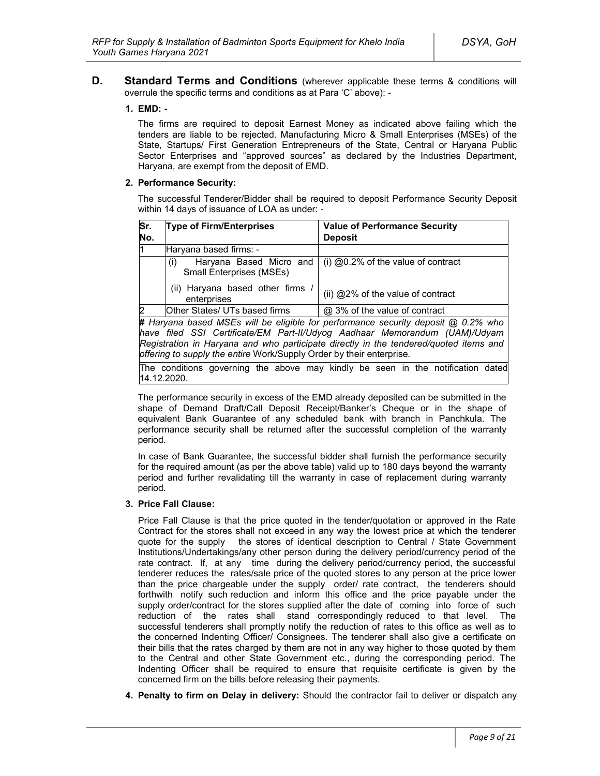**D. Standard Terms and Conditions** (wherever applicable these terms & conditions will overrule the specific terms and conditions as at Para 'C' above): -

#### **1. EMD: -**

The firms are required to deposit Earnest Money as indicated above failing which the tenders are liable to be rejected. Manufacturing Micro & Small Enterprises (MSEs) of the State, Startups/ First Generation Entrepreneurs of the State, Central or Haryana Public Sector Enterprises and "approved sources" as declared by the Industries Department, Haryana, are exempt from the deposit of EMD.

#### **2. Performance Security:**

The successful Tenderer/Bidder shall be required to deposit Performance Security Deposit within 14 days of issuance of LOA as under: -

| Sr.<br>No.     | <b>Type of Firm/Enterprises</b>                                   | <b>Value of Performance Security</b><br><b>Deposit</b>                              |
|----------------|-------------------------------------------------------------------|-------------------------------------------------------------------------------------|
| l1             | Haryana based firms: -                                            |                                                                                     |
|                | Haryana Based Micro and<br>(i)<br><b>Small Enterprises (MSEs)</b> | $(i)$ @0.2% of the value of contract                                                |
|                | (ii) Haryana based other firms<br>enterprises                     | (ii) @2% of the value of contract                                                   |
| $\overline{2}$ | Other States/ UTs based firms                                     | @ 3% of the value of contract                                                       |
|                |                                                                   | # Harvana hased MSEs will be eligible for performance security deposit @ 0.2% who l |

*For performance security deposite for performance security deposite of performance security deposite be 0.2% who in performance security deposite be 0.2% be 0.2% who be 0.2% who be 0.2% who be 0.2% who be 0.2% who be 0.2 have filed SSI Certificate/EM Part-II/Udyog Aadhaar Memorandum (UAM)/Udyam Registration in Haryana and who participate directly in the tendered/quoted items and offering to supply the entire* Work/Supply Order by their enterprise*.*

The conditions governing the above may kindly be seen in the notification dated 14.12.2020.

The performance security in excess of the EMD already deposited can be submitted in the shape of Demand Draft/Call Deposit Receipt/Banker's Cheque or in the shape of equivalent Bank Guarantee of any scheduled bank with branch in Panchkula. The performance security shall be returned after the successful completion of the warranty period.

In case of Bank Guarantee, the successful bidder shall furnish the performance security for the required amount (as per the above table) valid up to 180 days beyond the warranty period and further revalidating till the warranty in case of replacement during warranty period.

#### **3. Price Fall Clause:**

Price Fall Clause is that the price quoted in the tender/quotation or approved in the Rate Contract for the stores shall not exceed in any way the lowest price at which the tenderer quote for the supply the stores of identical description to Central / State Government Institutions/Undertakings/any other person during the delivery period/currency period of the rate contract. If, at any time during the delivery period/currency period, the successful tenderer reduces the rates/sale price of the quoted stores to any person at the price lower than the price chargeable under the supply order/ rate contract, the tenderers should forthwith notify such reduction and inform this office and the price payable under the supply order/contract for the stores supplied after the date of coming into force of such reduction of the rates shall stand correspondingly reduced to that level. The successful tenderers shall promptly notify the reduction of rates to this office as well as to the concerned Indenting Officer/ Consignees. The tenderer shall also give a certificate on their bills that the rates charged by them are not in any way higher to those quoted by them to the Central and other State Government etc., during the corresponding period. The Indenting Officer shall be required to ensure that requisite certificate is given by the concerned firm on the bills before releasing their payments.

**4. Penalty to firm on Delay in delivery:** Should the contractor fail to deliver or dispatch any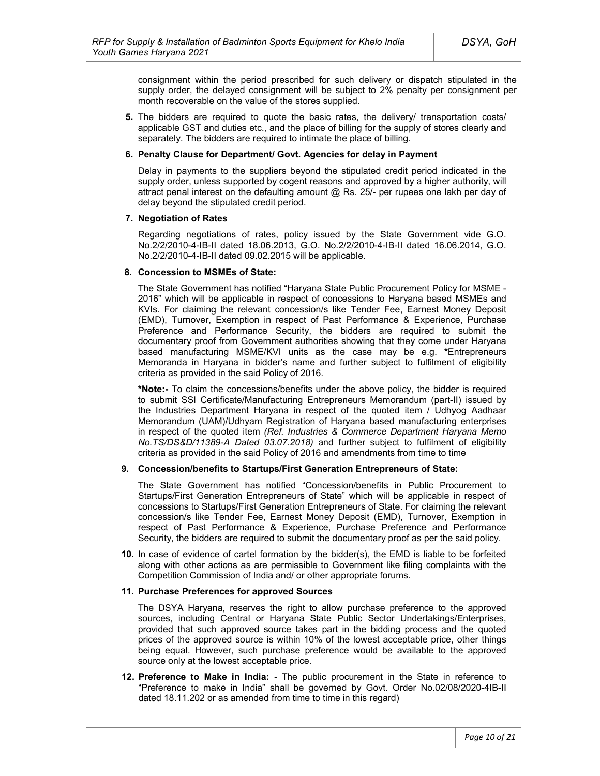consignment within the period prescribed for such delivery or dispatch stipulated in the supply order, the delayed consignment will be subject to 2% penalty per consignment per month recoverable on the value of the stores supplied.

**5.** The bidders are required to quote the basic rates, the delivery/ transportation costs/ applicable GST and duties etc., and the place of billing for the supply of stores clearly and separately. The bidders are required to intimate the place of billing.

#### **6. Penalty Clause for Department/ Govt. Agencies for delay in Payment**

Delay in payments to the suppliers beyond the stipulated credit period indicated in the supply order, unless supported by cogent reasons and approved by a higher authority, will attract penal interest on the defaulting amount  $@$  Rs. 25/- per rupees one lakh per day of delay beyond the stipulated credit period.

### **7. Negotiation of Rates**

Regarding negotiations of rates, policy issued by the State Government vide G.O. No.2/2/2010-4-IB-II dated 18.06.2013, G.O. No.2/2/2010-4-IB-II dated 16.06.2014, G.O. No.2/2/2010-4-IB-II dated 09.02.2015 will be applicable.

### **8. Concession to MSMEs of State:**

The State Government has notified "Haryana State Public Procurement Policy for MSME - 2016" which will be applicable in respect of concessions to Haryana based MSMEs and KVIs. For claiming the relevant concession/s like Tender Fee, Earnest Money Deposit (EMD), Turnover, Exemption in respect of Past Performance & Experience, Purchase Preference and Performance Security, the bidders are required to submit the documentary proof from Government authorities showing that they come under Haryana based manufacturing MSME/KVI units as the case may be e.g. **\***Entrepreneurs Memoranda in Haryana in bidder's name and further subject to fulfilment of eligibility criteria as provided in the said Policy of 2016.

**\*Note:-** To claim the concessions/benefits under the above policy, the bidder is required to submit SSI Certificate/Manufacturing Entrepreneurs Memorandum (part-II) issued by the Industries Department Haryana in respect of the quoted item / Udhyog Aadhaar Memorandum (UAM)/Udhyam Registration of Haryana based manufacturing enterprises in respect of the quoted item *(Ref. Industries & Commerce Department Haryana Memo No.TS/DS&D/11389-A Dated 03.07.2018)* and further subject to fulfilment of eligibility criteria as provided in the said Policy of 2016 and amendments from time to time

#### **9. Concession/benefits to Startups/First Generation Entrepreneurs of State:**

The State Government has notified "Concession/benefits in Public Procurement to Startups/First Generation Entrepreneurs of State" which will be applicable in respect of concessions to Startups/First Generation Entrepreneurs of State. For claiming the relevant concession/s like Tender Fee, Earnest Money Deposit (EMD), Turnover, Exemption in respect of Past Performance & Experience, Purchase Preference and Performance Security, the bidders are required to submit the documentary proof as per the said policy.

**10.** In case of evidence of cartel formation by the bidder(s), the EMD is liable to be forfeited along with other actions as are permissible to Government like filing complaints with the Competition Commission of India and/ or other appropriate forums.

#### **11. Purchase Preferences for approved Sources**

The DSYA Haryana, reserves the right to allow purchase preference to the approved sources, including Central or Haryana State Public Sector Undertakings/Enterprises, provided that such approved source takes part in the bidding process and the quoted prices of the approved source is within 10% of the lowest acceptable price, other things being equal. However, such purchase preference would be available to the approved source only at the lowest acceptable price.

**12. Preference to Make in India: -** The public procurement in the State in reference to "Preference to make in India" shall be governed by Govt. Order No.02/08/2020-4IB-II dated 18.11.202 or as amended from time to time in this regard)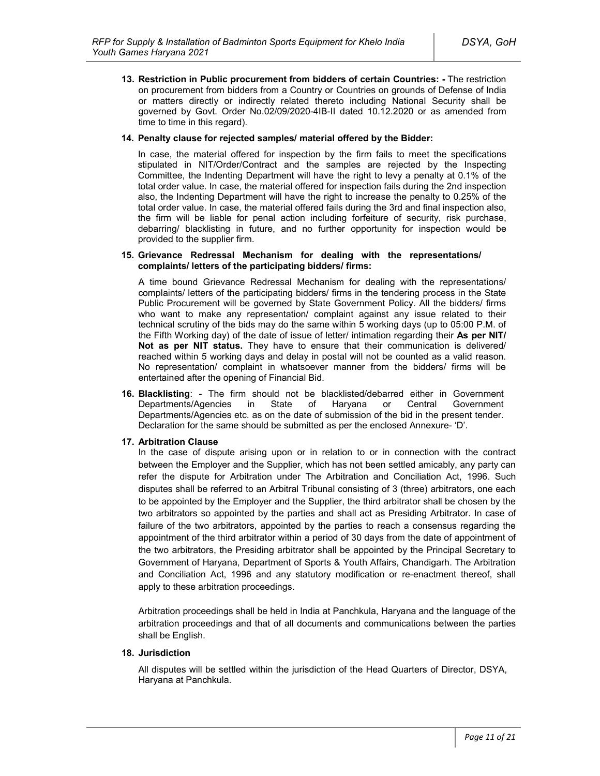**13. Restriction in Public procurement from bidders of certain Countries: -** The restriction on procurement from bidders from a Country or Countries on grounds of Defense of India or matters directly or indirectly related thereto including National Security shall be governed by Govt. Order No.02/09/2020-4IB-II dated 10.12.2020 or as amended from time to time in this regard).

#### **14. Penalty clause for rejected samples/ material offered by the Bidder:**

In case, the material offered for inspection by the firm fails to meet the specifications stipulated in NIT/Order/Contract and the samples are rejected by the Inspecting Committee, the Indenting Department will have the right to levy a penalty at 0.1% of the total order value. In case, the material offered for inspection fails during the 2nd inspection also, the Indenting Department will have the right to increase the penalty to 0.25% of the total order value. In case, the material offered fails during the 3rd and final inspection also, the firm will be liable for penal action including forfeiture of security, risk purchase, debarring/ blacklisting in future, and no further opportunity for inspection would be provided to the supplier firm.

#### **15. Grievance Redressal Mechanism for dealing with the representations/ complaints/ letters of the participating bidders/ firms:**

A time bound Grievance Redressal Mechanism for dealing with the representations/ complaints/ letters of the participating bidders/ firms in the tendering process in the State Public Procurement will be governed by State Government Policy. All the bidders/ firms who want to make any representation/ complaint against any issue related to their technical scrutiny of the bids may do the same within 5 working days (up to 05:00 P.M. of the Fifth Working day) of the date of issue of letter/ intimation regarding their **As per NIT/ Not as per NIT status.** They have to ensure that their communication is delivered/ reached within 5 working days and delay in postal will not be counted as a valid reason. No representation/ complaint in whatsoever manner from the bidders/ firms will be entertained after the opening of Financial Bid.

**16. Blacklisting**: - The firm should not be blacklisted/debarred either in Government Departments/Agencies in State of Haryana or Central Government Departments/Agencies etc. as on the date of submission of the bid in the present tender. Declaration for the same should be submitted as per the enclosed Annexure- 'D'.

### **17. Arbitration Clause**

In the case of dispute arising upon or in relation to or in connection with the contract between the Employer and the Supplier, which has not been settled amicably, any party can refer the dispute for Arbitration under The Arbitration and Conciliation Act, 1996. Such disputes shall be referred to an Arbitral Tribunal consisting of 3 (three) arbitrators, one each to be appointed by the Employer and the Supplier, the third arbitrator shall be chosen by the two arbitrators so appointed by the parties and shall act as Presiding Arbitrator. In case of failure of the two arbitrators, appointed by the parties to reach a consensus regarding the appointment of the third arbitrator within a period of 30 days from the date of appointment of the two arbitrators, the Presiding arbitrator shall be appointed by the Principal Secretary to Government of Haryana, Department of Sports & Youth Affairs, Chandigarh. The Arbitration and Conciliation Act, 1996 and any statutory modification or re-enactment thereof, shall apply to these arbitration proceedings.

Arbitration proceedings shall be held in India at Panchkula, Haryana and the language of the arbitration proceedings and that of all documents and communications between the parties shall be English.

### **18. Jurisdiction**

All disputes will be settled within the jurisdiction of the Head Quarters of Director, DSYA, Haryana at Panchkula.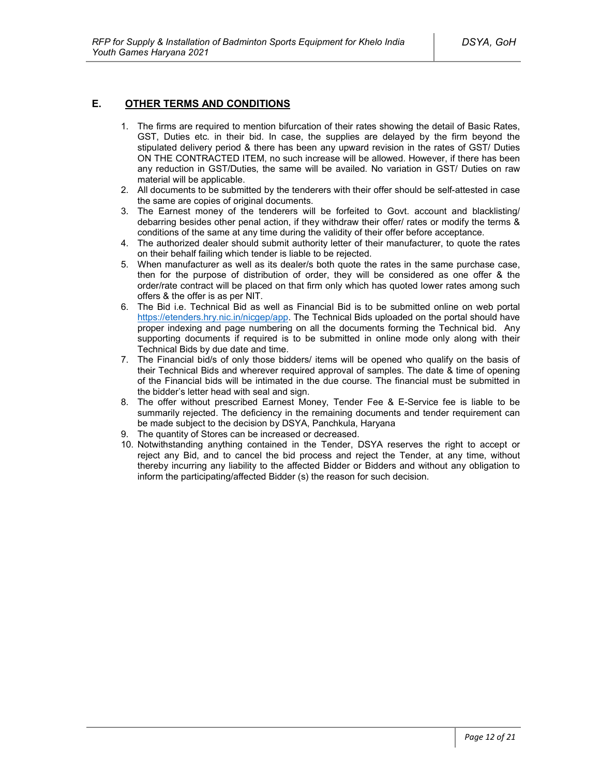### **E. OTHER TERMS AND CONDITIONS**

- 1. The firms are required to mention bifurcation of their rates showing the detail of Basic Rates, GST, Duties etc. in their bid. In case, the supplies are delayed by the firm beyond the stipulated delivery period & there has been any upward revision in the rates of GST/ Duties ON THE CONTRACTED ITEM, no such increase will be allowed. However, if there has been any reduction in GST/Duties, the same will be availed. No variation in GST/ Duties on raw material will be applicable.
- 2. All documents to be submitted by the tenderers with their offer should be self-attested in case the same are copies of original documents.
- 3. The Earnest money of the tenderers will be forfeited to Govt. account and blacklisting/ debarring besides other penal action, if they withdraw their offer/ rates or modify the terms & conditions of the same at any time during the validity of their offer before acceptance.
- 4. The authorized dealer should submit authority letter of their manufacturer, to quote the rates on their behalf failing which tender is liable to be rejected.
- 5. When manufacturer as well as its dealer/s both quote the rates in the same purchase case, then for the purpose of distribution of order, they will be considered as one offer & the order/rate contract will be placed on that firm only which has quoted lower rates among such offers & the offer is as per NIT.
- 6. The Bid i.e. Technical Bid as well as Financial Bid is to be submitted online on web portal https://etenders.hry.nic.in/nicgep/app. The Technical Bids uploaded on the portal should have proper indexing and page numbering on all the documents forming the Technical bid. Any supporting documents if required is to be submitted in online mode only along with their Technical Bids by due date and time.
- 7. The Financial bid/s of only those bidders/ items will be opened who qualify on the basis of their Technical Bids and wherever required approval of samples. The date & time of opening of the Financial bids will be intimated in the due course. The financial must be submitted in the bidder's letter head with seal and sign.
- 8. The offer without prescribed Earnest Money, Tender Fee & E-Service fee is liable to be summarily rejected. The deficiency in the remaining documents and tender requirement can be made subject to the decision by DSYA, Panchkula, Haryana
- 9. The quantity of Stores can be increased or decreased.
- 10. Notwithstanding anything contained in the Tender, DSYA reserves the right to accept or reject any Bid, and to cancel the bid process and reject the Tender, at any time, without thereby incurring any liability to the affected Bidder or Bidders and without any obligation to inform the participating/affected Bidder (s) the reason for such decision.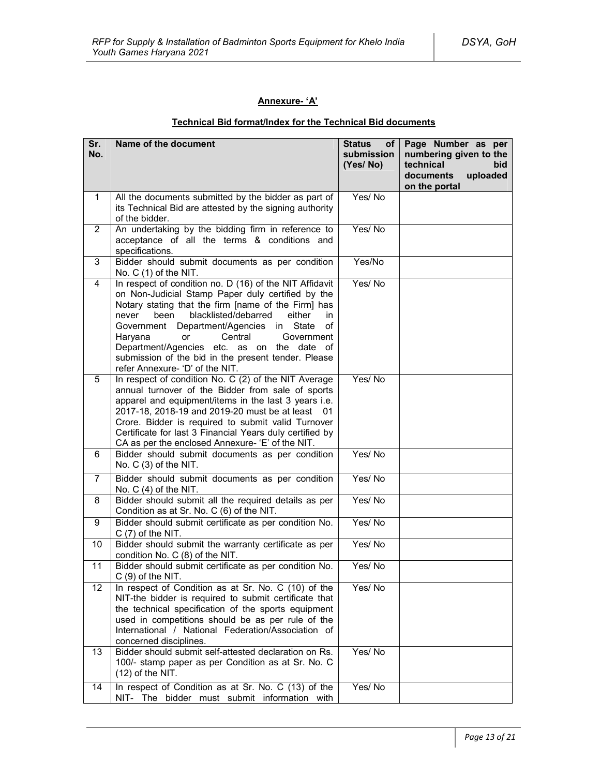### **Annexure- 'A'**

# **Technical Bid format/Index for the Technical Bid documents**

| Sr.<br>No.     | Name of the document                                                                                                                                                                                                                                                                                                                                                                                                                                                  | <b>Status</b><br>of<br>submission<br>(Yes/No) | Page Number as per<br>numbering given to the<br>technical<br>bid<br>documents<br>uploaded<br>on the portal |
|----------------|-----------------------------------------------------------------------------------------------------------------------------------------------------------------------------------------------------------------------------------------------------------------------------------------------------------------------------------------------------------------------------------------------------------------------------------------------------------------------|-----------------------------------------------|------------------------------------------------------------------------------------------------------------|
| 1              | All the documents submitted by the bidder as part of<br>its Technical Bid are attested by the signing authority<br>of the bidder.                                                                                                                                                                                                                                                                                                                                     | Yes/No                                        |                                                                                                            |
| $\overline{2}$ | An undertaking by the bidding firm in reference to<br>acceptance of all the terms & conditions and<br>specifications.                                                                                                                                                                                                                                                                                                                                                 | Yes/No                                        |                                                                                                            |
| 3              | Bidder should submit documents as per condition<br>No. C (1) of the NIT.                                                                                                                                                                                                                                                                                                                                                                                              | Yes/No                                        |                                                                                                            |
| 4              | In respect of condition no. D (16) of the NIT Affidavit<br>on Non-Judicial Stamp Paper duly certified by the<br>Notary stating that the firm [name of the Firm] has<br>blacklisted/debarred<br>been<br>either<br>in<br>never<br>Department/Agencies<br>in State<br>Government<br>οf<br>Central<br>Haryana<br>or<br>Government<br>Department/Agencies etc. as on the date of<br>submission of the bid in the present tender. Please<br>refer Annexure- 'D' of the NIT. | Yes/No                                        |                                                                                                            |
| 5              | In respect of condition No. C (2) of the NIT Average<br>annual turnover of the Bidder from sale of sports<br>apparel and equipment/items in the last 3 years i.e.<br>2017-18, 2018-19 and 2019-20 must be at least 01<br>Crore. Bidder is required to submit valid Turnover<br>Certificate for last 3 Financial Years duly certified by<br>CA as per the enclosed Annexure- 'E' of the NIT.                                                                           | Yes/No                                        |                                                                                                            |
| 6              | Bidder should submit documents as per condition<br>No. C (3) of the NIT.                                                                                                                                                                                                                                                                                                                                                                                              | Yes/No                                        |                                                                                                            |
| $\overline{7}$ | Bidder should submit documents as per condition<br>No. $C(4)$ of the NIT.                                                                                                                                                                                                                                                                                                                                                                                             | Yes/No                                        |                                                                                                            |
| 8              | Bidder should submit all the required details as per<br>Condition as at Sr. No. C (6) of the NIT.                                                                                                                                                                                                                                                                                                                                                                     | Yes/No                                        |                                                                                                            |
| 9              | Bidder should submit certificate as per condition No.<br>$C(7)$ of the NIT.                                                                                                                                                                                                                                                                                                                                                                                           | Yes/No                                        |                                                                                                            |
| 10             | Bidder should submit the warranty certificate as per<br>condition No. C (8) of the NIT.                                                                                                                                                                                                                                                                                                                                                                               | Yes/No                                        |                                                                                                            |
| 11             | Bidder should submit certificate as per condition No.<br>$C(9)$ of the NIT.                                                                                                                                                                                                                                                                                                                                                                                           | Yes/No                                        |                                                                                                            |
| 12             | In respect of Condition as at Sr. No. C (10) of the<br>NIT-the bidder is required to submit certificate that<br>the technical specification of the sports equipment<br>used in competitions should be as per rule of the<br>International / National Federation/Association of<br>concerned disciplines.                                                                                                                                                              | Yes/No                                        |                                                                                                            |
| 13             | Bidder should submit self-attested declaration on Rs.<br>100/- stamp paper as per Condition as at Sr. No. C<br>$(12)$ of the NIT.                                                                                                                                                                                                                                                                                                                                     | Yes/No                                        |                                                                                                            |
| 14             | In respect of Condition as at Sr. No. C (13) of the<br>NIT- The bidder must submit information with                                                                                                                                                                                                                                                                                                                                                                   | Yes/No                                        |                                                                                                            |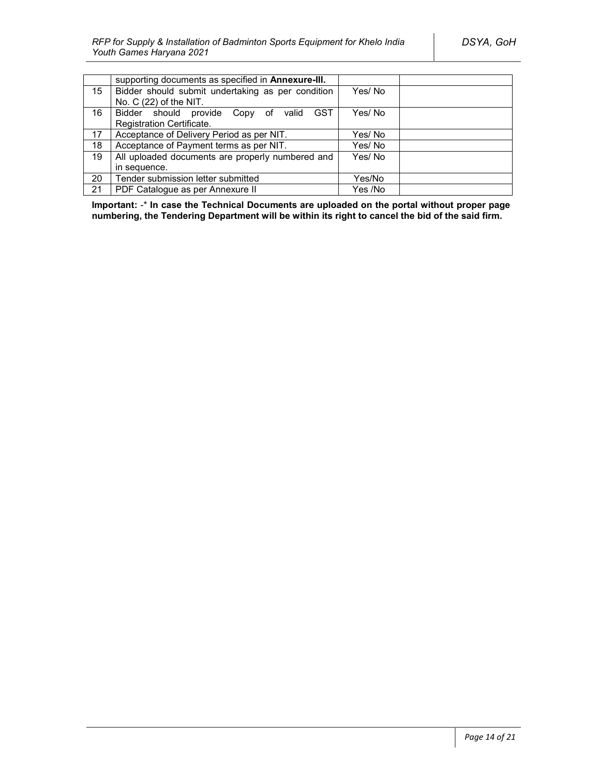|    | supporting documents as specified in <b>Annexure-III.</b> |         |
|----|-----------------------------------------------------------|---------|
| 15 | Bidder should submit undertaking as per condition         | Yes/No  |
|    | No. C (22) of the NIT.                                    |         |
| 16 | <b>GST</b><br>Bidder should provide Copy of<br>valid      | Yes/No  |
|    | Registration Certificate.                                 |         |
| 17 | Acceptance of Delivery Period as per NIT.                 | Yes/No  |
| 18 | Acceptance of Payment terms as per NIT.                   | Yes/No  |
| 19 | All uploaded documents are properly numbered and          | Yes/No  |
|    | in sequence.                                              |         |
| 20 | Tender submission letter submitted                        | Yes/No  |
| 21 | PDF Catalogue as per Annexure II                          | Yes /No |

**Important:** -\* **In case the Technical Documents are uploaded on the portal without proper page numbering, the Tendering Department will be within its right to cancel the bid of the said firm.**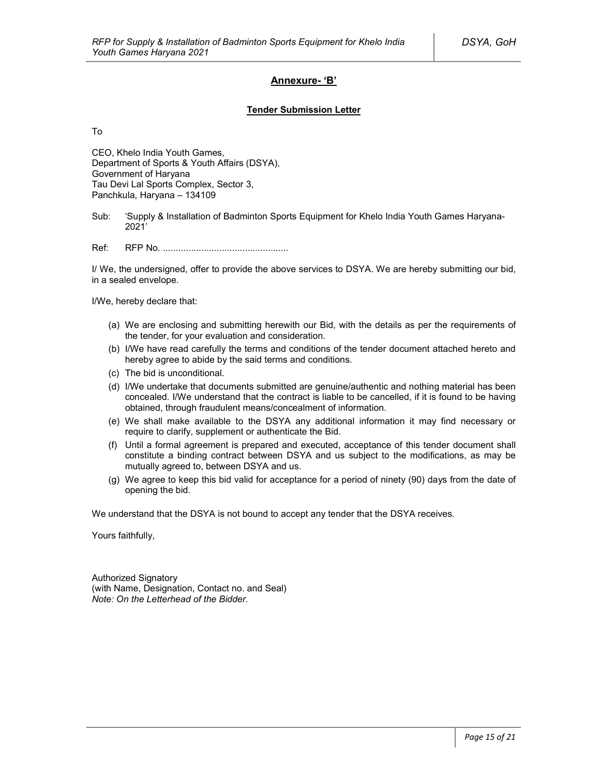### **Annexure- 'B'**

#### **Tender Submission Letter**

To

CEO, Khelo India Youth Games, Department of Sports & Youth Affairs (DSYA), Government of Haryana Tau Devi Lal Sports Complex, Sector 3, Panchkula, Haryana – 134109

Sub: 'Supply & Installation of Badminton Sports Equipment for Khelo India Youth Games Haryana-2021'

Ref: RFP No. .................................................

I/ We, the undersigned, offer to provide the above services to DSYA. We are hereby submitting our bid, in a sealed envelope.

I/We, hereby declare that:

- (a) We are enclosing and submitting herewith our Bid, with the details as per the requirements of the tender, for your evaluation and consideration.
- (b) I/We have read carefully the terms and conditions of the tender document attached hereto and hereby agree to abide by the said terms and conditions.
- (c) The bid is unconditional.
- (d) I/We undertake that documents submitted are genuine/authentic and nothing material has been concealed. I/We understand that the contract is liable to be cancelled, if it is found to be having obtained, through fraudulent means/concealment of information.
- (e) We shall make available to the DSYA any additional information it may find necessary or require to clarify, supplement or authenticate the Bid.
- (f) Until a formal agreement is prepared and executed, acceptance of this tender document shall constitute a binding contract between DSYA and us subject to the modifications, as may be mutually agreed to, between DSYA and us.
- (g) We agree to keep this bid valid for acceptance for a period of ninety (90) days from the date of opening the bid.

We understand that the DSYA is not bound to accept any tender that the DSYA receives.

Yours faithfully,

Authorized Signatory (with Name, Designation, Contact no. and Seal) *Note: On the Letterhead of the Bidder.*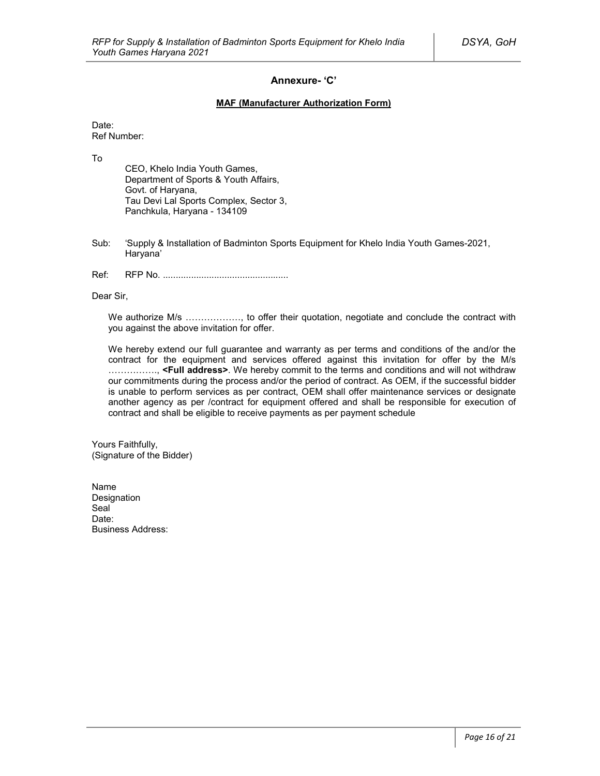### **Annexure- 'C'**

#### **MAF (Manufacturer Authorization Form)**

Date: Ref Number:

To

CEO, Khelo India Youth Games, Department of Sports & Youth Affairs, Govt. of Haryana, Tau Devi Lal Sports Complex, Sector 3, Panchkula, Haryana - 134109

- Sub: 'Supply & Installation of Badminton Sports Equipment for Khelo India Youth Games-2021, Haryana'
- Ref: RFP No. .................................................

Dear Sir,

We authorize M/s ................., to offer their quotation, negotiate and conclude the contract with you against the above invitation for offer.

We hereby extend our full guarantee and warranty as per terms and conditions of the and/or the contract for the equipment and services offered against this invitation for offer by the M/s ……………., **<Full address>**. We hereby commit to the terms and conditions and will not withdraw our commitments during the process and/or the period of contract. As OEM, if the successful bidder is unable to perform services as per contract, OEM shall offer maintenance services or designate another agency as per /contract for equipment offered and shall be responsible for execution of contract and shall be eligible to receive payments as per payment schedule

Yours Faithfully, (Signature of the Bidder)

Name Designation Seal<sup>1</sup> Date: Business Address: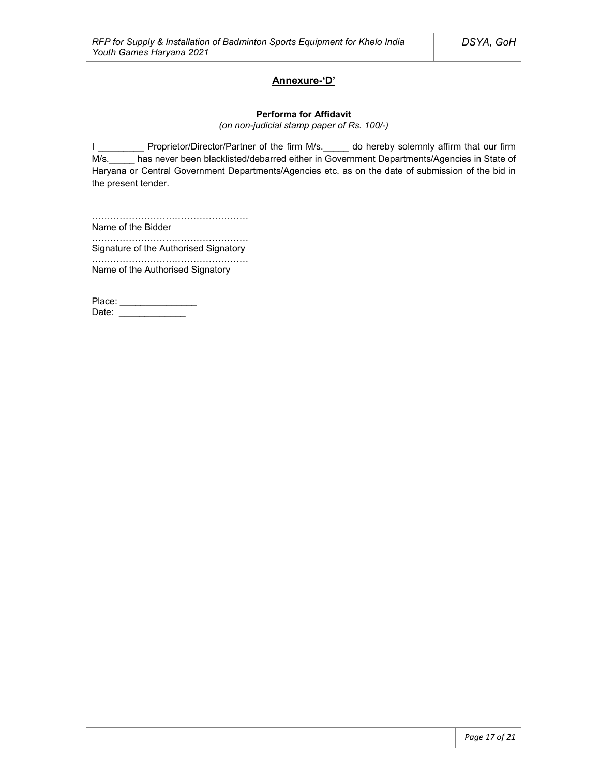### **Annexure-'D'**

#### **Performa for Affidavit**

*(on non-judicial stamp paper of Rs. 100/-)*

I \_\_\_\_\_\_\_\_\_\_ Proprietor/Director/Partner of the firm M/s. \_\_\_\_\_ do hereby solemnly affirm that our firm M/s. has never been blacklisted/debarred either in Government Departments/Agencies in State of Haryana or Central Government Departments/Agencies etc. as on the date of submission of the bid in the present tender.

…………………………………………… Name of the Bidder

…………………………………………………… Signature of the Authorised Signatory

…………………………………………… Name of the Authorised Signatory

Place: \_\_\_\_\_\_\_\_\_\_\_\_\_\_\_\_\_ Date: \_\_\_\_\_\_\_\_\_\_\_\_\_\_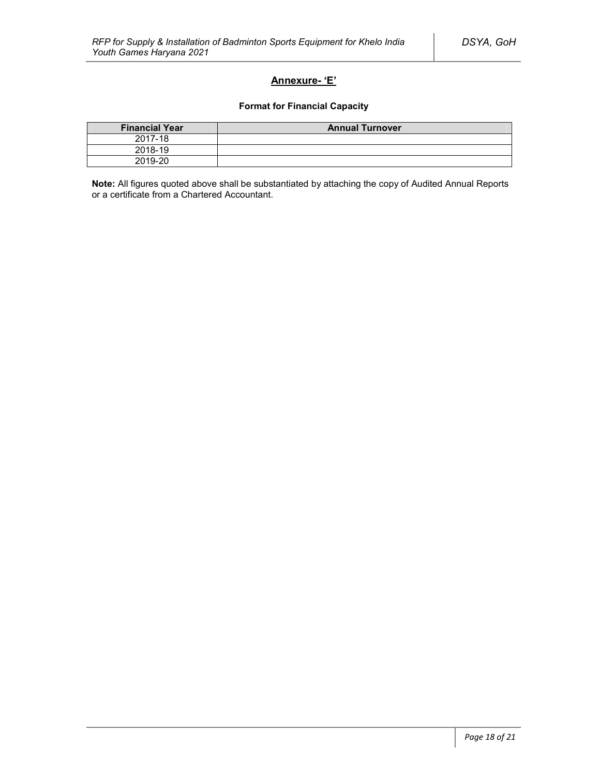### **Annexure- 'E'**

### **Format for Financial Capacity**

| <b>Financial Year</b> | <b>Annual Turnover</b> |
|-----------------------|------------------------|
| 2017-18               |                        |
| 2018-19               |                        |
| 2019-20               |                        |

**Note:** All figures quoted above shall be substantiated by attaching the copy of Audited Annual Reports or a certificate from a Chartered Accountant.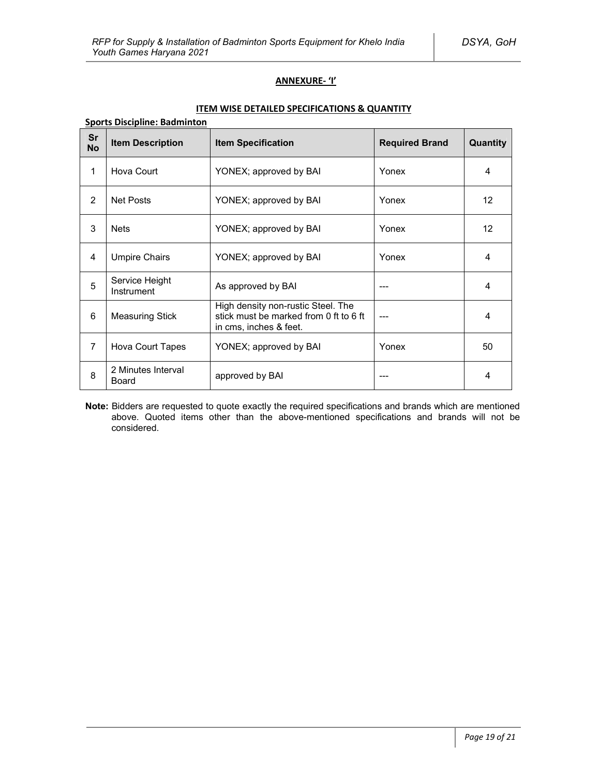### **ANNEXURE- 'I'**

### **ITEM WISE DETAILED SPECIFICATIONS & QUANTITY**

| <b>Sports Discipline: Badminton</b> |                              |                                                                                                        |                       |                 |
|-------------------------------------|------------------------------|--------------------------------------------------------------------------------------------------------|-----------------------|-----------------|
| Sr<br><b>No</b>                     | <b>Item Description</b>      | <b>Item Specification</b>                                                                              | <b>Required Brand</b> | <b>Quantity</b> |
| 1                                   | Hova Court                   | YONEX; approved by BAI                                                                                 | Yonex                 | 4               |
| 2                                   | Net Posts                    | YONEX; approved by BAI                                                                                 | Yonex                 | 12              |
| 3                                   | <b>Nets</b>                  | YONEX; approved by BAI                                                                                 | Yonex                 | 12              |
| 4                                   | <b>Umpire Chairs</b>         | YONEX; approved by BAI                                                                                 | Yonex                 | 4               |
| 5                                   | Service Height<br>Instrument | As approved by BAI                                                                                     |                       | 4               |
| 6                                   | <b>Measuring Stick</b>       | High density non-rustic Steel. The<br>stick must be marked from 0 ft to 6 ft<br>in cms, inches & feet. |                       | 4               |
| $\overline{7}$                      | Hova Court Tapes             | YONEX; approved by BAI                                                                                 | Yonex                 | 50              |
| 8                                   | 2 Minutes Interval<br>Board  | approved by BAI                                                                                        |                       | 4               |

**Note:** Bidders are requested to quote exactly the required specifications and brands which are mentioned above. Quoted items other than the above-mentioned specifications and brands will not be considered.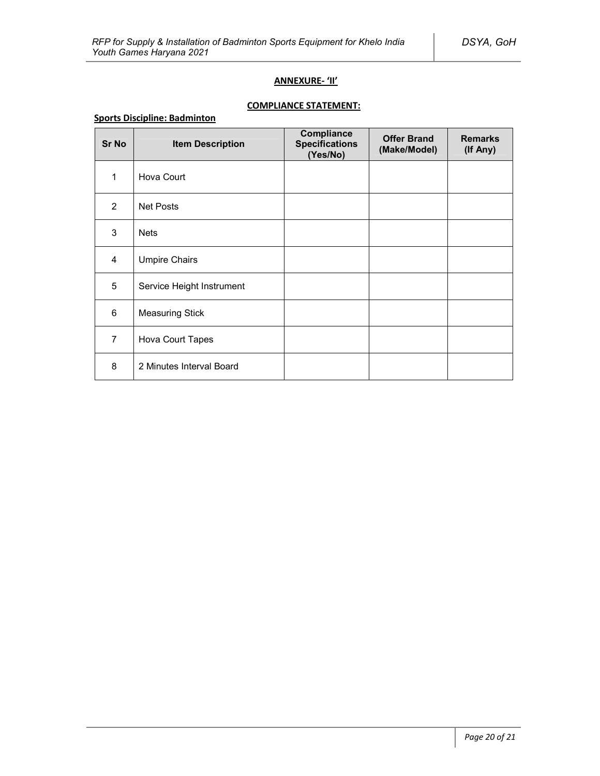### **ANNEXURE- 'II'**

# **COMPLIANCE STATEMENT:**

### **Sports Discipline: Badminton**

| <b>Sr No</b>   | <b>Item Description</b>   | Compliance<br><b>Specifications</b><br>(Yes/No) | <b>Offer Brand</b><br>(Make/Model) | <b>Remarks</b><br>(If Any) |
|----------------|---------------------------|-------------------------------------------------|------------------------------------|----------------------------|
| 1              | Hova Court                |                                                 |                                    |                            |
| 2              | <b>Net Posts</b>          |                                                 |                                    |                            |
| 3              | <b>Nets</b>               |                                                 |                                    |                            |
| 4              | <b>Umpire Chairs</b>      |                                                 |                                    |                            |
| 5              | Service Height Instrument |                                                 |                                    |                            |
| 6              | <b>Measuring Stick</b>    |                                                 |                                    |                            |
| $\overline{7}$ | Hova Court Tapes          |                                                 |                                    |                            |
| 8              | 2 Minutes Interval Board  |                                                 |                                    |                            |